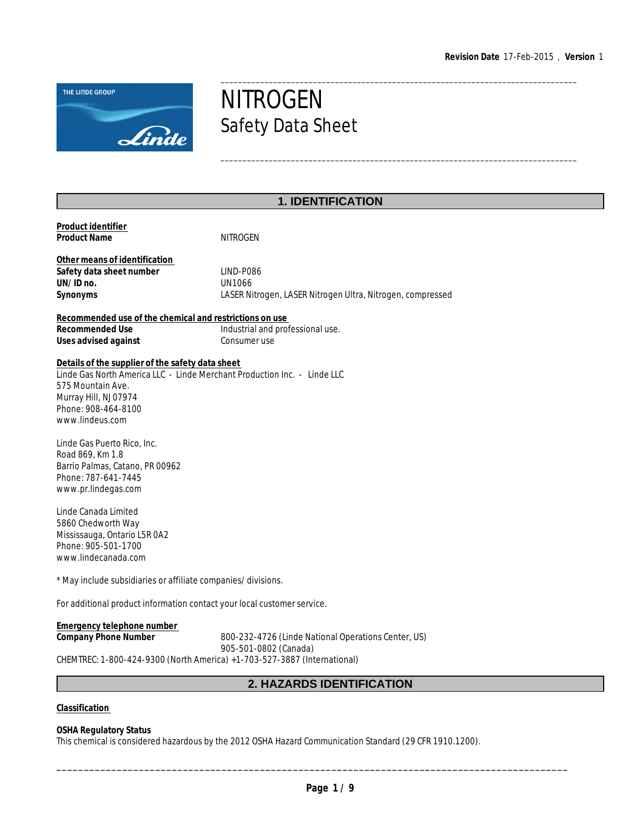\_\_\_\_\_\_\_\_\_\_\_\_\_\_\_\_\_\_\_\_\_\_\_\_\_\_\_\_\_\_\_\_\_\_\_\_\_\_\_\_\_\_\_\_\_\_\_\_\_\_\_\_\_\_\_\_\_\_\_\_\_\_\_\_\_\_\_\_\_\_\_\_\_\_\_\_\_\_\_\_\_



# **NITROGEN** Safety Data Sheet

# **1. IDENTIFICATION**

| Product identifier<br><b>Product Name</b>                                                                                                                                                                            | <b>NITROGEN</b>                                                                          |
|----------------------------------------------------------------------------------------------------------------------------------------------------------------------------------------------------------------------|------------------------------------------------------------------------------------------|
| Other means of identification<br>Safety data sheet number<br>UN/ID no.<br>Synonyms                                                                                                                                   | LIND-P086<br><b>UN1066</b><br>LASER Nitrogen, LASER Nitrogen Ultra, Nitrogen, compressed |
| Recommended use of the chemical and restrictions on use                                                                                                                                                              |                                                                                          |
| Recommended Use<br>Uses advised against                                                                                                                                                                              | Industrial and professional use.<br>Consumer use                                         |
| Details of the supplier of the safety data sheet<br>Linde Gas North America LLC - Linde Merchant Production Inc. - Linde LLC<br>575 Mountain Ave.<br>Murray Hill, NJ 07974<br>Phone: 908-464-8100<br>www.lindeus.com |                                                                                          |
| Linde Gas Puerto Rico, Inc.<br>Road 869, Km 1.8<br>Barrio Palmas, Catano, PR 00962<br>Phone: 787-641-7445<br>www.pr.lindegas.com                                                                                     |                                                                                          |
| Linde Canada Limited<br>5860 Chedworth Way<br>Mississauga, Ontario L5R 0A2<br>Phone: 905-501-1700<br>www.lindecanada.com                                                                                             |                                                                                          |
| * May include subsidiaries or affiliate companies/divisions.                                                                                                                                                         |                                                                                          |
| For additional product information contact your local customer service.                                                                                                                                              |                                                                                          |
| <b>Emergency telephone number</b><br>Company Phone Number                                                                                                                                                            | 800-232-4726 (Linde National Operations Center, US)                                      |

905-501-0802 (Canada)

CHEMTREC: 1-800-424-9300 (North America) +1-703-527-3887 (International)

# **2. HAZARDS IDENTIFICATION**

**Classification** 

**OSHA Regulatory Status**

This chemical is considered hazardous by the 2012 OSHA Hazard Communication Standard (29 CFR 1910.1200).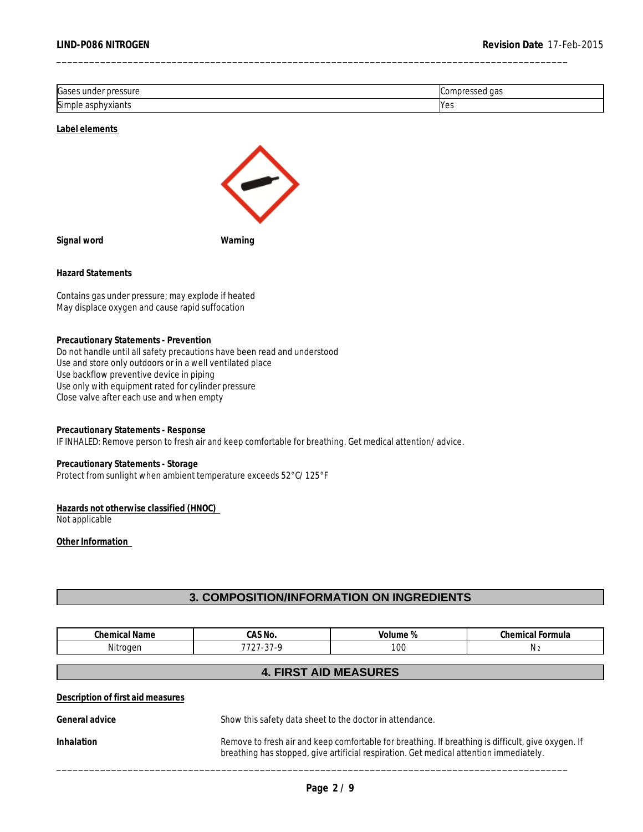| Gases<br>pressure<br>ma         | gas                          |
|---------------------------------|------------------------------|
| Simple<br>1117<br>viant.<br>asu | M<br>د با ا<br>$\sim$ $\sim$ |

**Label elements** 



**Signal word Warning**

**Hazard Statements**

Contains gas under pressure; may explode if heated May displace oxygen and cause rapid suffocation

**Precautionary Statements - Prevention** Do not handle until all safety precautions have been read and understood Use and store only outdoors or in a well ventilated place Use backflow preventive device in piping Use only with equipment rated for cylinder pressure Close valve after each use and when empty

**Precautionary Statements - Response** IF INHALED: Remove person to fresh air and keep comfortable for breathing. Get medical attention/advice.

**Precautionary Statements - Storage** Protect from sunlight when ambient temperature exceeds 52°C/125°F

**Hazards not otherwise classified (HNOC)**  Not applicable

**Other Information** 

## **3. COMPOSITION/INFORMATION ON INGREDIENTS**

| <b>Chemical Name</b>                                                                                                                                                                                              | CAS No.                                                  | Volume %                     | Chemical Formula |
|-------------------------------------------------------------------------------------------------------------------------------------------------------------------------------------------------------------------|----------------------------------------------------------|------------------------------|------------------|
| Nitrogen                                                                                                                                                                                                          | 7727-37-9                                                | 100                          | N <sub>2</sub>   |
|                                                                                                                                                                                                                   |                                                          | <b>4. FIRST AID MEASURES</b> |                  |
| Description of first aid measures                                                                                                                                                                                 |                                                          |                              |                  |
| General advice                                                                                                                                                                                                    | Show this safety data sheet to the doctor in attendance. |                              |                  |
| Remove to fresh air and keep comfortable for breathing. If breathing is difficult, give oxygen. If<br><b>Inhalation</b><br>breathing has stopped, give artificial respiration. Get medical attention immediately. |                                                          |                              |                  |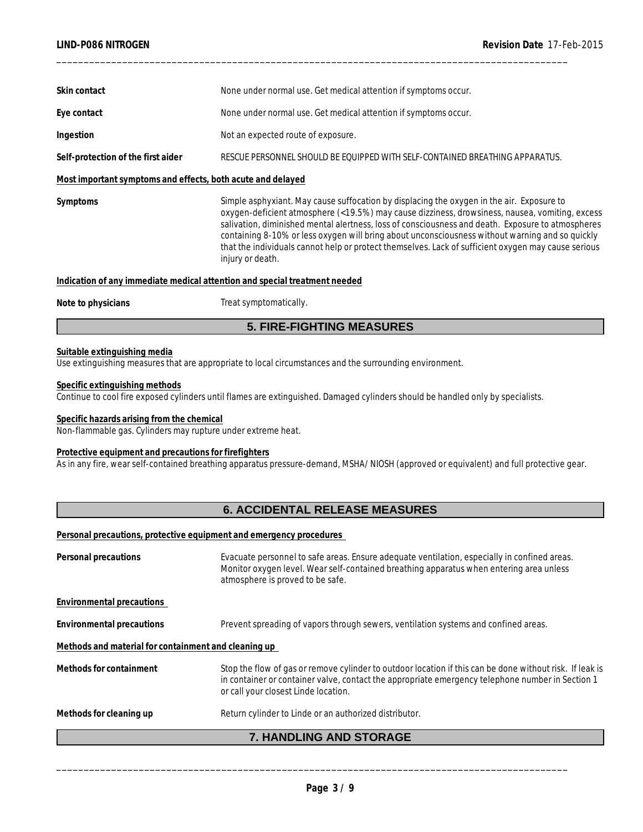| Skin contact                                                               | None under normal use. Get medical attention if symptoms occur.                                                                                                                                                                                                                                                                                                                                                                                                                                                                |  |  |  |  |
|----------------------------------------------------------------------------|--------------------------------------------------------------------------------------------------------------------------------------------------------------------------------------------------------------------------------------------------------------------------------------------------------------------------------------------------------------------------------------------------------------------------------------------------------------------------------------------------------------------------------|--|--|--|--|
| Eye contact                                                                | None under normal use. Get medical attention if symptoms occur.                                                                                                                                                                                                                                                                                                                                                                                                                                                                |  |  |  |  |
| Ingestion                                                                  | Not an expected route of exposure.                                                                                                                                                                                                                                                                                                                                                                                                                                                                                             |  |  |  |  |
| Self-protection of the first aider                                         | RESCUE PERSONNEL SHOULD BE EQUIPPED WITH SELF-CONTAINED BREATHING APPARATUS.                                                                                                                                                                                                                                                                                                                                                                                                                                                   |  |  |  |  |
| Most important symptoms and effects, both acute and delayed                |                                                                                                                                                                                                                                                                                                                                                                                                                                                                                                                                |  |  |  |  |
| Symptoms                                                                   | Simple asphyxiant. May cause suffocation by displacing the oxygen in the air. Exposure to<br>oxygen-deficient atmosphere (<19.5%) may cause dizziness, drowsiness, nausea, vomiting, excess<br>salivation, diminished mental alertness, loss of consciousness and death. Exposure to atmospheres<br>containing 8-10% or less oxygen will bring about unconsciousness without warning and so quickly<br>that the individuals cannot help or protect themselves. Lack of sufficient oxygen may cause serious<br>injury or death. |  |  |  |  |
| Indication of any immediate medical attention and special treatment needed |                                                                                                                                                                                                                                                                                                                                                                                                                                                                                                                                |  |  |  |  |
| Note to physicians                                                         | Treat symptomatically.                                                                                                                                                                                                                                                                                                                                                                                                                                                                                                         |  |  |  |  |
|                                                                            |                                                                                                                                                                                                                                                                                                                                                                                                                                                                                                                                |  |  |  |  |

## **5. FIRE-FIGHTING MEASURES**

## **Suitable extinguishing media**

Use extinguishing measures that are appropriate to local circumstances and the surrounding environment.

#### **Specific extinguishing methods**

Continue to cool fire exposed cylinders until flames are extinguished. Damaged cylinders should be handled only by specialists.

## **Specific hazards arising from the chemical**

Non-flammable gas. Cylinders may rupture under extreme heat.

#### **Protective equipment and precautions for firefighters**

As in any fire, wear self-contained breathing apparatus pressure-demand, MSHA/NIOSH (approved or equivalent) and full protective gear.

## **6. ACCIDENTAL RELEASE MEASURES**

**Personal precautions, protective equipment and emergency procedures** 

| Personal precautions                                 | Evacuate personnel to safe areas. Ensure adequate ventilation, especially in confined areas.<br>Monitor oxygen level. Wear self-contained breathing apparatus when entering area unless<br>atmosphere is proved to be safe.                          |  |
|------------------------------------------------------|------------------------------------------------------------------------------------------------------------------------------------------------------------------------------------------------------------------------------------------------------|--|
| Environmental precautions                            |                                                                                                                                                                                                                                                      |  |
| Environmental precautions                            | Prevent spreading of vapors through sewers, ventilation systems and confined areas.                                                                                                                                                                  |  |
| Methods and material for containment and cleaning up |                                                                                                                                                                                                                                                      |  |
| Methods for containment                              | Stop the flow of gas or remove cylinder to outdoor location if this can be done without risk. If leak is<br>in container or container valve, contact the appropriate emergency telephone number in Section 1<br>or call your closest Linde location. |  |
| Methods for cleaning up                              | Return cylinder to Linde or an authorized distributor.                                                                                                                                                                                               |  |
|                                                      | 7. HANDLING AND STORAGE                                                                                                                                                                                                                              |  |
|                                                      |                                                                                                                                                                                                                                                      |  |
|                                                      |                                                                                                                                                                                                                                                      |  |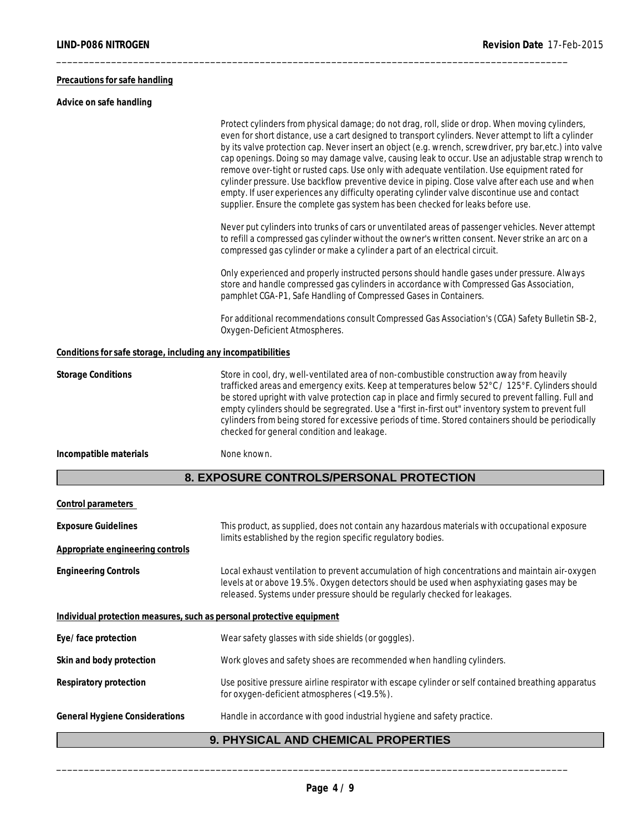## **Precautions for safe handling**

**Advice on safe handling**

|                                                                       | Protect cylinders from physical damage; do not drag, roll, slide or drop. When moving cylinders,<br>even for short distance, use a cart designed to transport cylinders. Never attempt to lift a cylinder<br>by its valve protection cap. Never insert an object (e.g. wrench, screwdriver, pry bar,etc.) into valve<br>cap openings. Doing so may damage valve, causing leak to occur. Use an adjustable strap wrench to<br>remove over-tight or rusted caps. Use only with adequate ventilation. Use equipment rated for<br>cylinder pressure. Use backflow preventive device in piping. Close valve after each use and when<br>empty. If user experiences any difficulty operating cylinder valve discontinue use and contact<br>supplier. Ensure the complete gas system has been checked for leaks before use. |
|-----------------------------------------------------------------------|---------------------------------------------------------------------------------------------------------------------------------------------------------------------------------------------------------------------------------------------------------------------------------------------------------------------------------------------------------------------------------------------------------------------------------------------------------------------------------------------------------------------------------------------------------------------------------------------------------------------------------------------------------------------------------------------------------------------------------------------------------------------------------------------------------------------|
|                                                                       | Never put cylinders into trunks of cars or unventilated areas of passenger vehicles. Never attempt<br>to refill a compressed gas cylinder without the owner's written consent. Never strike an arc on a<br>compressed gas cylinder or make a cylinder a part of an electrical circuit.                                                                                                                                                                                                                                                                                                                                                                                                                                                                                                                              |
|                                                                       | Only experienced and properly instructed persons should handle gases under pressure. Always<br>store and handle compressed gas cylinders in accordance with Compressed Gas Association,<br>pamphlet CGA-P1, Safe Handling of Compressed Gases in Containers.                                                                                                                                                                                                                                                                                                                                                                                                                                                                                                                                                        |
|                                                                       | For additional recommendations consult Compressed Gas Association's (CGA) Safety Bulletin SB-2,<br>Oxygen-Deficient Atmospheres.                                                                                                                                                                                                                                                                                                                                                                                                                                                                                                                                                                                                                                                                                    |
| Conditions for safe storage, including any incompatibilities          |                                                                                                                                                                                                                                                                                                                                                                                                                                                                                                                                                                                                                                                                                                                                                                                                                     |
| <b>Storage Conditions</b>                                             | Store in cool, dry, well-ventilated area of non-combustible construction away from heavily<br>trafficked areas and emergency exits. Keep at temperatures below 52°C / 125°F. Cylinders should<br>be stored upright with valve protection cap in place and firmly secured to prevent falling. Full and<br>empty cylinders should be segregrated. Use a "first in-first out" inventory system to prevent full<br>cylinders from being stored for excessive periods of time. Stored containers should be periodically<br>checked for general condition and leakage.                                                                                                                                                                                                                                                    |
| Incompatible materials                                                | None known.                                                                                                                                                                                                                                                                                                                                                                                                                                                                                                                                                                                                                                                                                                                                                                                                         |
|                                                                       | 8. EXPOSURE CONTROLS/PERSONAL PROTECTION                                                                                                                                                                                                                                                                                                                                                                                                                                                                                                                                                                                                                                                                                                                                                                            |
| Control parameters                                                    |                                                                                                                                                                                                                                                                                                                                                                                                                                                                                                                                                                                                                                                                                                                                                                                                                     |
| <b>Exposure Guidelines</b>                                            | This product, as supplied, does not contain any hazardous materials with occupational exposure                                                                                                                                                                                                                                                                                                                                                                                                                                                                                                                                                                                                                                                                                                                      |
| Appropriate engineering controls                                      | limits established by the region specific regulatory bodies.                                                                                                                                                                                                                                                                                                                                                                                                                                                                                                                                                                                                                                                                                                                                                        |
| <b>Engineering Controls</b>                                           | Local exhaust ventilation to prevent accumulation of high concentrations and maintain air-oxygen<br>levels at or above 19.5%. Oxygen detectors should be used when asphyxiating gases may be<br>released. Systems under pressure should be regularly checked for leakages.                                                                                                                                                                                                                                                                                                                                                                                                                                                                                                                                          |
| Individual protection measures, such as personal protective equipment |                                                                                                                                                                                                                                                                                                                                                                                                                                                                                                                                                                                                                                                                                                                                                                                                                     |
| Eye/face protection                                                   | Wear safety glasses with side shields (or goggles).                                                                                                                                                                                                                                                                                                                                                                                                                                                                                                                                                                                                                                                                                                                                                                 |
| Skin and body protection                                              | Work gloves and safety shoes are recommended when handling cylinders.                                                                                                                                                                                                                                                                                                                                                                                                                                                                                                                                                                                                                                                                                                                                               |
| Respiratory protection                                                | Use positive pressure airline respirator with escape cylinder or self contained breathing apparatus<br>for oxygen-deficient atmospheres (<19.5%).                                                                                                                                                                                                                                                                                                                                                                                                                                                                                                                                                                                                                                                                   |
| <b>General Hygiene Considerations</b>                                 | Handle in accordance with good industrial hygiene and safety practice.                                                                                                                                                                                                                                                                                                                                                                                                                                                                                                                                                                                                                                                                                                                                              |
|                                                                       |                                                                                                                                                                                                                                                                                                                                                                                                                                                                                                                                                                                                                                                                                                                                                                                                                     |

\_\_\_\_\_\_\_\_\_\_\_\_\_\_\_\_\_\_\_\_\_\_\_\_\_\_\_\_\_\_\_\_\_\_\_\_\_\_\_\_\_\_\_\_\_\_\_\_\_\_\_\_\_\_\_\_\_\_\_\_\_\_\_\_\_\_\_\_\_\_\_\_\_\_\_\_\_\_\_\_\_\_\_\_\_\_\_\_\_\_\_\_\_

# **9. PHYSICAL AND CHEMICAL PROPERTIES**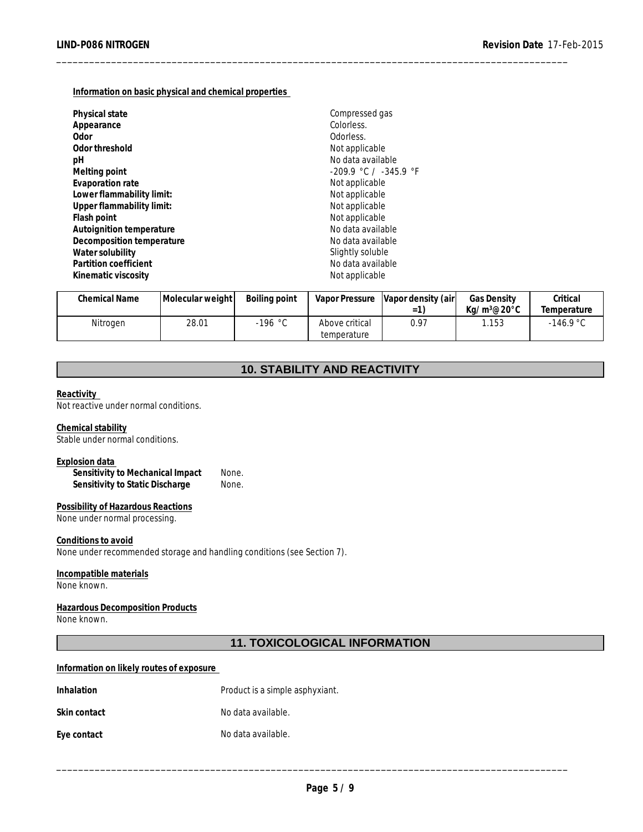**Information on basic physical and chemical properties** 

| Physical state            | Compressed gas            |
|---------------------------|---------------------------|
| Appearance                | Colorless.                |
| Odor                      | Odorless.                 |
| Odor threshold            | Not applicable            |
| рH                        | No data available         |
| Melting point             | $-209.9$ °C / $-345.9$ °F |
| Evaporation rate          | Not applicable            |
| Lower flammability limit: | Not applicable            |
| Upper flammability limit: | Not applicable            |
| Flash point               | Not applicable            |
| Autoignition temperature  | No data available         |
| Decomposition temperature | No data available         |
| Water solubility          | Slightly soluble          |
| Partition coefficient     | No data available         |
| Kinematic viscosity       | Not applicable            |

| Chemical Name | Molecular weight | Boiling point |                | Vapor Pressure Vapor density (air | <b>Gas Density</b> | Critical    |
|---------------|------------------|---------------|----------------|-----------------------------------|--------------------|-------------|
|               |                  |               |                | $=$                               | Ka/m3@20°C         | Temperature |
| Nitrogen      | 28.01            | 196 °C∶       | Above critical | 0.97                              | .153               | $-146.9 °C$ |
|               |                  |               | temperature    |                                   |                    |             |

\_\_\_\_\_\_\_\_\_\_\_\_\_\_\_\_\_\_\_\_\_\_\_\_\_\_\_\_\_\_\_\_\_\_\_\_\_\_\_\_\_\_\_\_\_\_\_\_\_\_\_\_\_\_\_\_\_\_\_\_\_\_\_\_\_\_\_\_\_\_\_\_\_\_\_\_\_\_\_\_\_\_\_\_\_\_\_\_\_\_\_\_\_

## **10. STABILITY AND REACTIVITY**

#### **Reactivity**

Not reactive under normal conditions.

# **Chemical stability**

Stable under normal conditions.

#### **Explosion data**

**Sensitivity to Mechanical Impact** None. **Sensitivity to Static Discharge** None.

#### **Possibility of Hazardous Reactions** None under normal processing.

**Conditions to avoid** None under recommended storage and handling conditions (see Section 7).

#### **Incompatible materials** None known.

#### **Hazardous Decomposition Products** None known.

## **11. TOXICOLOGICAL INFORMATION**

#### **Information on likely routes of exposure**

| Inhalation   | Product is a simple asphyxiant. |
|--------------|---------------------------------|
| Skin contact | No data available.              |
| Eye contact  | No data available.              |
|              |                                 |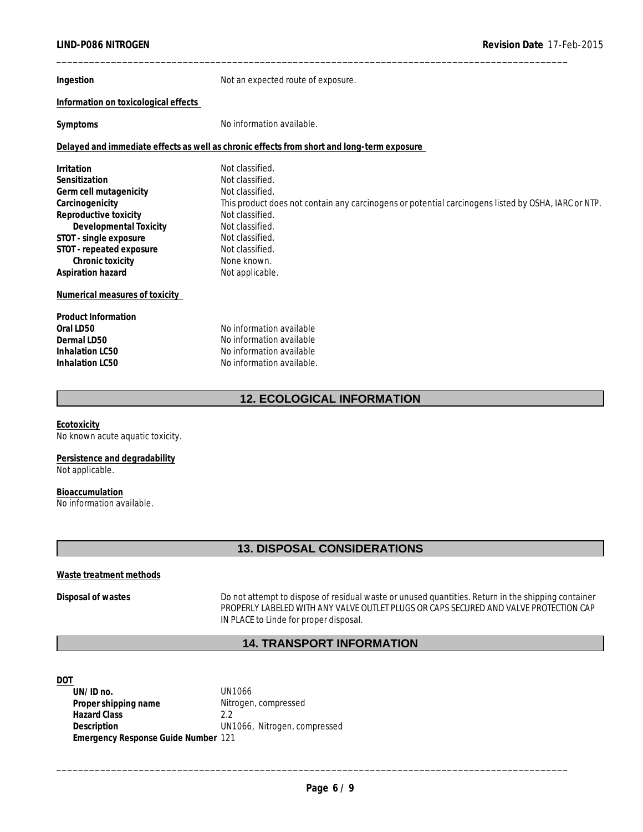| Ingestion                            | Not an expected route of exposure.                                                                  |  |  |  |  |
|--------------------------------------|-----------------------------------------------------------------------------------------------------|--|--|--|--|
| Information on toxicological effects |                                                                                                     |  |  |  |  |
| Symptoms                             | No information available.                                                                           |  |  |  |  |
|                                      | Delayed and immediate effects as well as chronic effects from short and long-term exposure          |  |  |  |  |
| Irritation                           | Not classified.                                                                                     |  |  |  |  |
| Sensitization                        | Not classified.                                                                                     |  |  |  |  |
| Germ cell mutagenicity               | Not classified.                                                                                     |  |  |  |  |
| Carcinogenicity                      | This product does not contain any carcinogens or potential carcinogens listed by OSHA, IARC or NTP. |  |  |  |  |
| Reproductive toxicity                | Not classified.                                                                                     |  |  |  |  |
| Developmental Toxicity               | Not classified.                                                                                     |  |  |  |  |
| STOT - single exposure               | Not classified.                                                                                     |  |  |  |  |
| STOT - repeated exposure             | Not classified.<br>None known.                                                                      |  |  |  |  |
| Chronic toxicity                     |                                                                                                     |  |  |  |  |
| Aspiration hazard                    | Not applicable.                                                                                     |  |  |  |  |
| Numerical measures of toxicity       |                                                                                                     |  |  |  |  |
| <b>Product Information</b>           |                                                                                                     |  |  |  |  |
| Oral LD50                            | No information available                                                                            |  |  |  |  |
| Dermal LD50                          | No information available                                                                            |  |  |  |  |
| Inhalation LC50                      | No information available                                                                            |  |  |  |  |
| Inhalation LC50                      | No information available.                                                                           |  |  |  |  |
|                                      | <b>12. ECOLOGICAL INFORMATION</b>                                                                   |  |  |  |  |
| Ecotoxicity                          |                                                                                                     |  |  |  |  |

No known acute aquatic toxicity.

**Persistence and degradability** Not applicable.

**Bioaccumulation** No information available.

## **13. DISPOSAL CONSIDERATIONS**

## **Waste treatment methods**

**Disposal of wastes** Do not attempt to dispose of residual waste or unused quantities. Return in the shipping container PROPERLY LABELED WITH ANY VALVE OUTLET PLUGS OR CAPS SECURED AND VALVE PROTECTION CAP IN PLACE to Linde for proper disposal.

## **14. TRANSPORT INFORMATION**

#### **DOT**

**UN/ID no.** UN1066 Proper shipping name **Nitrogen**, compressed **Hazard Class** 2.2 **Description** \_\_\_\_\_\_\_\_\_\_\_\_\_\_\_\_\_\_\_\_\_\_\_\_\_\_\_\_\_\_\_\_\_\_\_\_\_\_\_\_\_\_\_\_\_\_\_\_\_\_\_\_\_\_\_\_\_\_\_\_\_\_\_\_\_\_\_\_\_\_\_\_\_\_\_\_\_\_\_\_\_\_\_\_\_\_\_\_\_\_\_\_\_ UN1066, Nitrogen, compressed **Emergency Response Guide Number** 121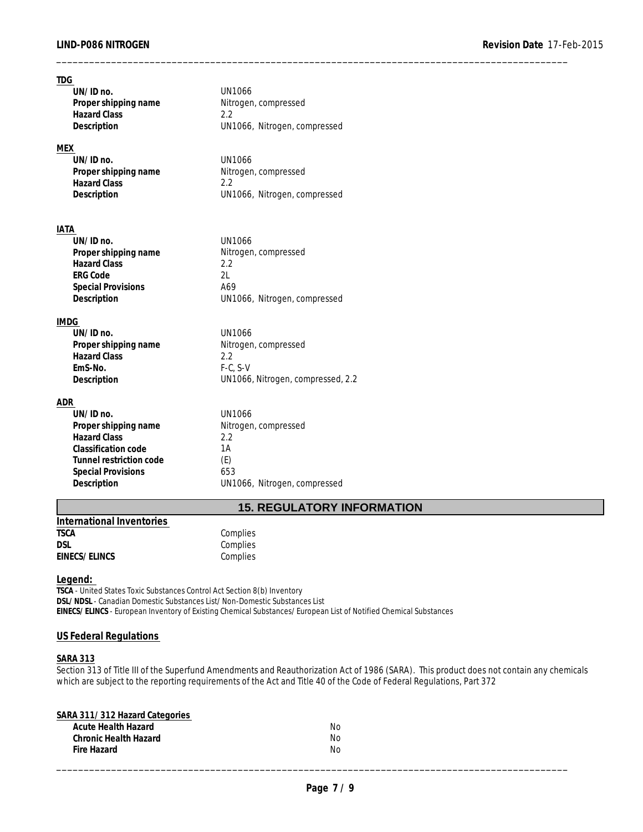| TDG                       |                                   |  |
|---------------------------|-----------------------------------|--|
| UN/ID no.                 | <b>UN1066</b>                     |  |
| Proper shipping name      | Nitrogen, compressed              |  |
| <b>Hazard Class</b>       | 2.2                               |  |
| Description               | UN1066, Nitrogen, compressed      |  |
| MEX                       |                                   |  |
| UN/ID no.                 | <b>UN1066</b>                     |  |
| Proper shipping name      | Nitrogen, compressed              |  |
| <b>Hazard Class</b>       | 2.2                               |  |
| Description               | UN1066, Nitrogen, compressed      |  |
|                           |                                   |  |
| IATA                      |                                   |  |
| UN/ID no.                 | <b>UN1066</b>                     |  |
| Proper shipping name      | Nitrogen, compressed              |  |
| <b>Hazard Class</b>       | 2.2                               |  |
| <b>ERG Code</b>           | 2L                                |  |
| <b>Special Provisions</b> | A69                               |  |
| Description               | UN1066, Nitrogen, compressed      |  |
|                           |                                   |  |
| <b>IMDG</b>               |                                   |  |
| UN/ID no.                 | <b>UN1066</b>                     |  |
| Proper shipping name      | Nitrogen, compressed              |  |
| <b>Hazard Class</b>       | 2.2                               |  |
| EmS-No.                   | $F-C, S-V$                        |  |
| Description               | UN1066, Nitrogen, compressed, 2.2 |  |
| ADR                       |                                   |  |
| UN/ID no.                 | <b>UN1066</b>                     |  |
| Proper shipping name      | Nitrogen, compressed              |  |
| <b>Hazard Class</b>       | 2.2                               |  |
| Classification code       | 1A                                |  |
| Tunnel restriction code   | (E)                               |  |
| <b>Special Provisions</b> | 653                               |  |
| Description               | UN1066, Nitrogen, compressed      |  |

## **15. REGULATORY INFORMATION**

| International Inventories |  |
|---------------------------|--|
| <b>TSCA</b>               |  |
| D.SI                      |  |
| EINECS/ELINCS             |  |

**Complies** Complies Complies

**Legend:** 

**TSCA** - United States Toxic Substances Control Act Section 8(b) Inventory **DSL/NDSL** - Canadian Domestic Substances List/Non-Domestic Substances List **EINECS/ELINCS** - European Inventory of Existing Chemical Substances/European List of Notified Chemical Substances

## **US Federal Regulations**

## **SARA 313**

Section 313 of Title III of the Superfund Amendments and Reauthorization Act of 1986 (SARA). This product does not contain any chemicals which are subject to the reporting requirements of the Act and Title 40 of the Code of Federal Regulations, Part 372

| SARA 311/312 Hazard Categories |     |  |
|--------------------------------|-----|--|
| Acute Health Hazard            | No. |  |
| Chronic Health Hazard          | No  |  |
| Fire Hazard                    | No  |  |
|                                |     |  |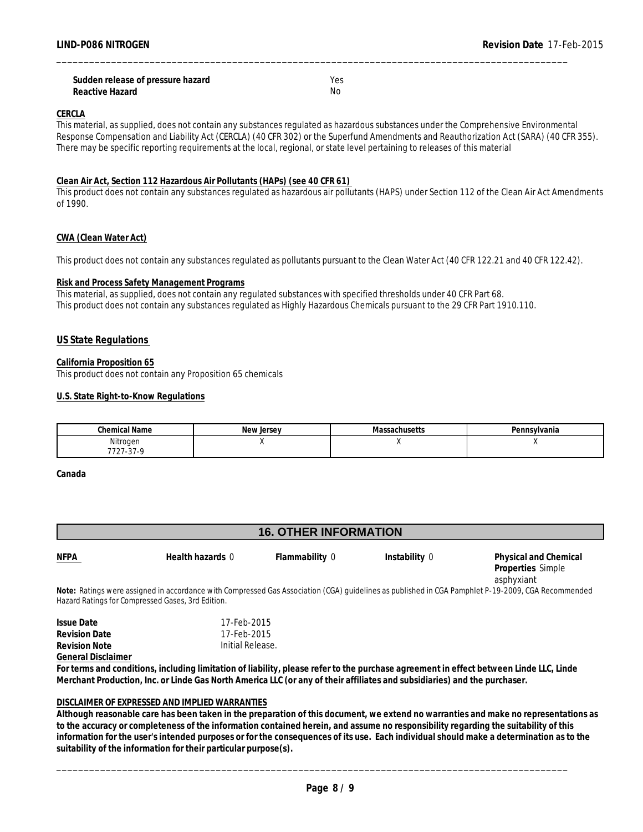| Sudden release of pressure hazard | Yes. |
|-----------------------------------|------|
| Reactive Hazard                   | Nс   |

#### **CERCLA**

This material, as supplied, does not contain any substances regulated as hazardous substances under the Comprehensive Environmental Response Compensation and Liability Act (CERCLA) (40 CFR 302) or the Superfund Amendments and Reauthorization Act (SARA) (40 CFR 355). There may be specific reporting requirements at the local, regional, or state level pertaining to releases of this material

\_\_\_\_\_\_\_\_\_\_\_\_\_\_\_\_\_\_\_\_\_\_\_\_\_\_\_\_\_\_\_\_\_\_\_\_\_\_\_\_\_\_\_\_\_\_\_\_\_\_\_\_\_\_\_\_\_\_\_\_\_\_\_\_\_\_\_\_\_\_\_\_\_\_\_\_\_\_\_\_\_\_\_\_\_\_\_\_\_\_\_\_\_

#### **Clean Air Act, Section 112 Hazardous Air Pollutants (HAPs) (see 40 CFR 61)**

This product does not contain any substances regulated as hazardous air pollutants (HAPS) under Section 112 of the Clean Air Act Amendments of 1990.

#### **CWA (Clean Water Act)**

This product does not contain any substances regulated as pollutants pursuant to the Clean Water Act (40 CFR 122.21 and 40 CFR 122.42).

#### **Risk and Process Safety Management Programs**

This material, as supplied, does not contain any regulated substances with specified thresholds under 40 CFR Part 68. This product does not contain any substances regulated as Highly Hazardous Chemicals pursuant to the 29 CFR Part 1910.110.

#### **US State Regulations**

#### **California Proposition 65**

This product does not contain any Proposition 65 chemicals

#### **U.S. State Right-to-Know Regulations**

| :hemical<br><b>Name</b> | $\sim$<br>CFCAV | $\lambda$<br>$\sim$<br>IVIđ:<br>⊶an Imperio | Pennsvlvania |
|-------------------------|-----------------|---------------------------------------------|--------------|
| Nitrogen                |                 |                                             |              |
| 1-51-7<br>$\epsilon$    |                 |                                             |              |

**Canada**

## **16. OTHER INFORMATION**



**Note:** Ratings were assigned in accordance with Compressed Gas Association (CGA) guidelines as published in CGA Pamphlet P-19-2009, CGA Recommended Hazard Ratings for Compressed Gases, 3rd Edition.

| Issue Date                | 17-Feb-2015      |  |
|---------------------------|------------------|--|
| <b>Revision Date</b>      | 17-Feb-2015      |  |
| Revision Note             | Initial Release. |  |
| <b>General Disclaimer</b> |                  |  |

**For terms and conditions, including limitation of liability, please refer to the purchase agreement in effect between Linde LLC, Linde Merchant Production, Inc. or Linde Gas North America LLC (or any of their affiliates and subsidiaries) and the purchaser.**

#### **DISCLAIMER OF EXPRESSED AND IMPLIED WARRANTIES**

**Although reasonable care has been taken in the preparation of this document, we extend no warranties and make no representations as to the accuracy or completeness of the information contained herein, and assume no responsibility regarding the suitability of this information for the user's intended purposes or for the consequences of its use. Each individual should make a determination as to the suitability of the information for their particular purpose(s).**